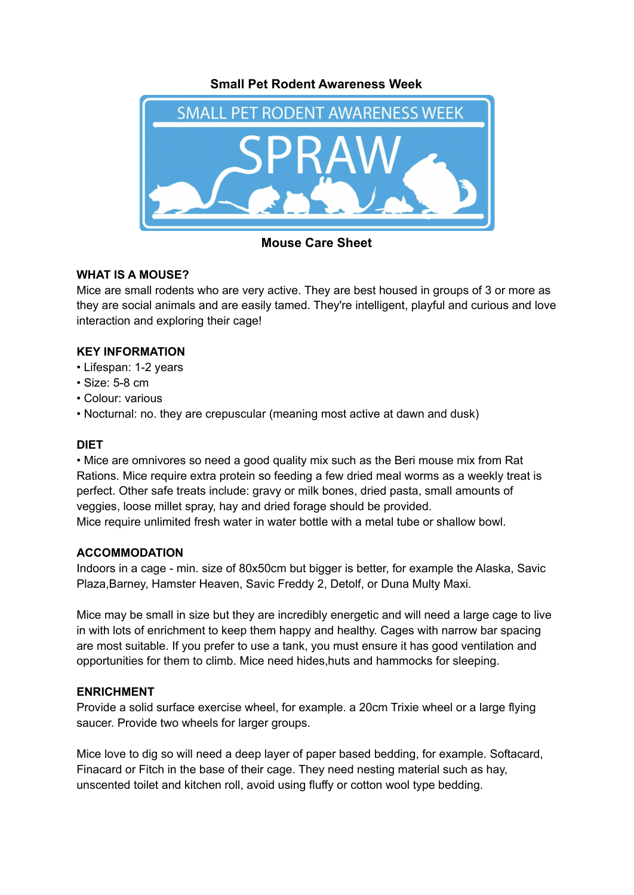### **Small Pet Rodent Awareness Week**



**Mouse Care Sheet**

# **WHAT IS A MOUSE?**

Mice are small rodents who are very active. They are best housed in groups of 3 or more as they are social animals and are easily tamed. They're intelligent, playful and curious and love interaction and exploring their cage!

### **KEY INFORMATION**

- Lifespan: 1-2 years
- Size: 5-8 cm
- Colour: various
- Nocturnal: no. they are crepuscular (meaning most active at dawn and dusk)

# **DIET**

• Mice are omnivores so need a good quality mix such as the Beri mouse mix from Rat Rations. Mice require extra protein so feeding a few dried meal worms as a weekly treat is perfect. Other safe treats include: gravy or milk bones, dried pasta, small amounts of veggies, loose millet spray, hay and dried forage should be provided. Mice require unlimited fresh water in water bottle with a metal tube or shallow bowl.

#### **ACCOMMODATION**

Indoors in a cage - min. size of 80x50cm but bigger is better, for example the Alaska, Savic Plaza,Barney, Hamster Heaven, Savic Freddy 2, Detolf, or Duna Multy Maxi.

Mice may be small in size but they are incredibly energetic and will need a large cage to live in with lots of enrichment to keep them happy and healthy. Cages with narrow bar spacing are most suitable. If you prefer to use a tank, you must ensure it has good ventilation and opportunities for them to climb. Mice need hides,huts and hammocks for sleeping.

# **ENRICHMENT**

Provide a solid surface exercise wheel, for example. a 20cm Trixie wheel or a large flying saucer. Provide two wheels for larger groups.

Mice love to dig so will need a deep layer of paper based bedding, for example. Softacard, Finacard or Fitch in the base of their cage. They need nesting material such as hay, unscented toilet and kitchen roll, avoid using fluffy or cotton wool type bedding.